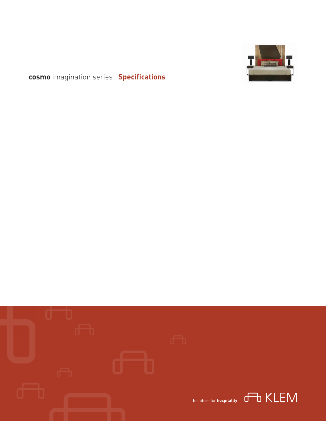

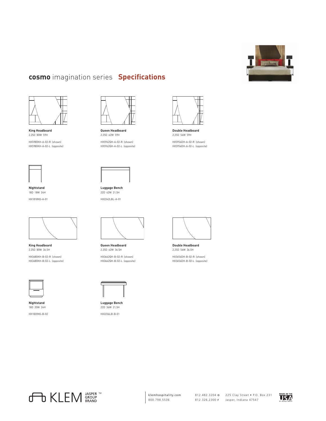



**King Headboard** 2.25D 80W 59H

HX5980KH-A-02-R (shown) HX5980KH-A-02-L (opposite)



**Nightstand** 18D 18W 24H HX1818NS-A-01



**King Headboard** 2.25D 80W 36.5H HX3680KH-B-02-R (shown) HX3680KH-B-02-L (opposite)



**Nightstand** 18D 20W 24H HX1820NS-B-02



**Queen Headboard** 2.25D 62W 59H

HX5962QH-A-02-R (shown) HX5962QH-A-02-L (opposite)



**Luggage Bench** 22D 42W 21.5H HX2242LBL-A-01



**Queen Headboard** 2.25D 62W 36.5H HX3662QH-B-02-R (shown) HX3662QH-B-02-L (opposite)

**Luggage Bench** 22D 36W 21.5H HX2236LB-B-01



**Double Headboard** 2.25D 56W 59H HX5956DH-A-02-R (shown) HX5956DH-A-02-L (opposite)



**Double Headboard** 2.25D 56W 36.5H HX3656DH-B-02-R (shown)

HX3656DH-B-02-L (opposite)



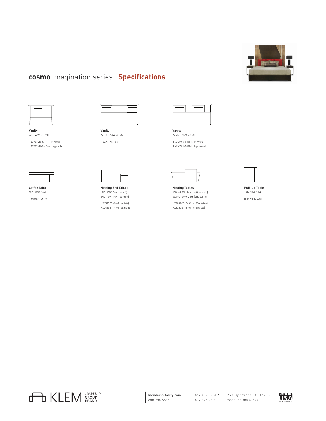





**Vanity** 22D 42W 31.25H HX2242VB-A-01-L (shown) HX2242VB-A-01-R (opposite)



**Coffee Table** 20D 40W 16H HX2040CT-A-01



22.75D 63W 33.25H HX2263VB-B-01

**Nesting End Tables** 15D 20W 24H (at left) 24D 15W 14H (at right) HX1520ET-A-01 (at left) HX2415ET-A-01 (at right)



**Vanity** 22.75D 65W 33.25H IE2265VB-A-01-R (shown)

IE2265VB-A-01-L (opposite)



**Nesting Tables** 20D 47.5W 16H (coffee table) 23.75D 20W 22H (end table)

HX2047CT-B-01 (coffee table) HX2320ET-B-01 (end table)



16D 20H 24H IE1620ET-A-01



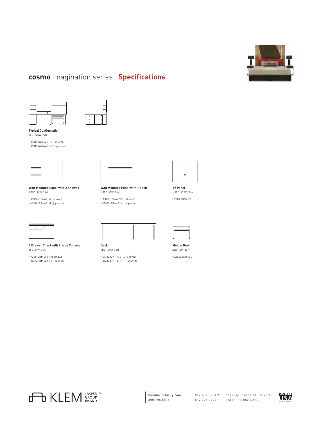





**Typical Configuration** 70D 120W 79H

HX70120WU-A-01-L (shown) HX70120WU-A-01-R (opposite)



**Wall Mounted Panel with 2 Shelves** 1.25D 60W 38H

HX3860-BP-A-01-L (shown) HX3860-BP-A-01-R (opposite)



**3 Drawer Chest with Fridge Console** 25D 54W 34H

HX2554CRM-A-01-R (shown) HX2554CRM-A-01-L (opposite) **Wall Mounted Panel with 1 Shelf** 1.25D 60W 38H

HX3860-BP-A-02-R (shown) HX3860-BP-A-02-L (opposite)



**Desk** 16D 120W 34H HX16120DKT-A-01-L (shown) HX16120DKT-A-01-R (opposite)



1.25D 45.5W 38H HX3845BP-A-01



**Mobile Desk** 20D 40W 30H HX2040DKM-A-01

**TO KLEM** SRAND